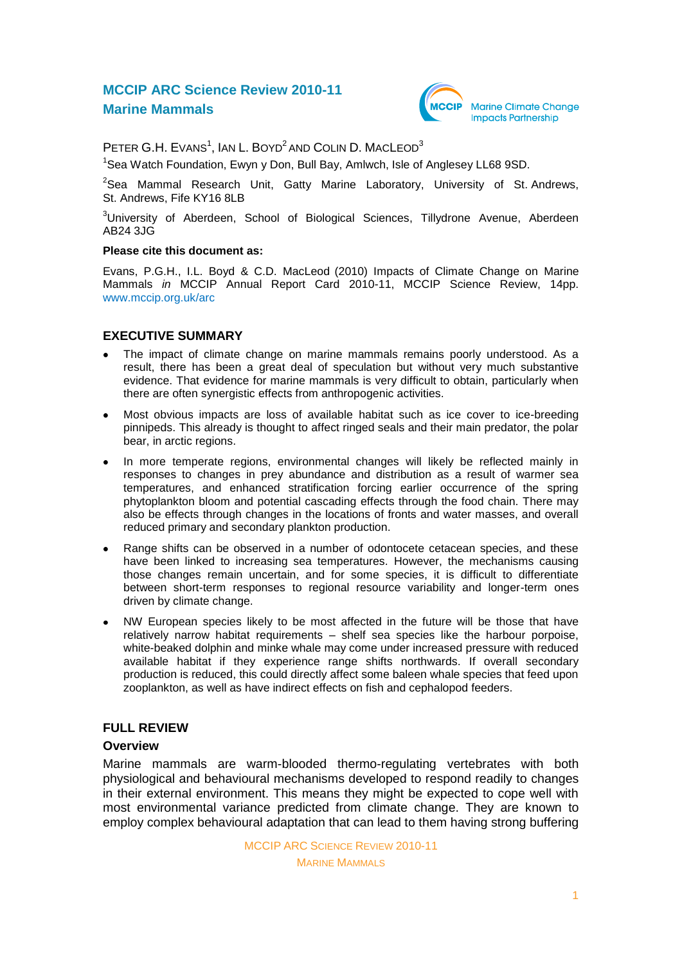# **MCCIP ARC Science Review 2010-11 Marine Mammals**



PETER G.H. EVANS<sup>1</sup>, IAN L. BOYD<sup>2</sup> AND COLIN D. MACLEOD<sup>3</sup>

<sup>1</sup>Sea Watch Foundation, Ewyn y Don, Bull Bay, Amlwch, Isle of Anglesey LL68 9SD.

 $2$ Sea Mammal Research Unit, Gatty Marine Laboratory, University of St. Andrews, St. Andrews, Fife KY16 8LB

<sup>3</sup>University of Aberdeen, School of Biological Sciences, Tillydrone Avenue, Aberdeen AB24 3JG

#### **Please cite this document as:**

Evans, P.G.H., I.L. Boyd & C.D. MacLeod (2010) Impacts of Climate Change on Marine Mammals *in* MCCIP Annual Report Card 2010-11, MCCIP Science Review, 14pp. [www.mccip.org.uk/arc](http://www.mccip.org.uk/arc)

### **EXECUTIVE SUMMARY**

- The impact of climate change on marine mammals remains poorly understood. As a result, there has been a great deal of speculation but without very much substantive evidence. That evidence for marine mammals is very difficult to obtain, particularly when there are often synergistic effects from anthropogenic activities.
- Most obvious impacts are loss of available habitat such as ice cover to ice-breeding  $\bullet$ pinnipeds. This already is thought to affect ringed seals and their main predator, the polar bear, in arctic regions.
- In more temperate regions, environmental changes will likely be reflected mainly in responses to changes in prey abundance and distribution as a result of warmer sea temperatures, and enhanced stratification forcing earlier occurrence of the spring phytoplankton bloom and potential cascading effects through the food chain. There may also be effects through changes in the locations of fronts and water masses, and overall reduced primary and secondary plankton production.
- Range shifts can be observed in a number of odontocete cetacean species, and these  $\bullet$ have been linked to increasing sea temperatures. However, the mechanisms causing those changes remain uncertain, and for some species, it is difficult to differentiate between short-term responses to regional resource variability and longer-term ones driven by climate change.
- NW European species likely to be most affected in the future will be those that have  $\bullet$ relatively narrow habitat requirements – shelf sea species like the harbour porpoise, white-beaked dolphin and minke whale may come under increased pressure with reduced available habitat if they experience range shifts northwards. If overall secondary production is reduced, this could directly affect some baleen whale species that feed upon zooplankton, as well as have indirect effects on fish and cephalopod feeders.

### **FULL REVIEW**

#### **Overview**

Marine mammals are warm-blooded thermo-regulating vertebrates with both physiological and behavioural mechanisms developed to respond readily to changes in their external environment. This means they might be expected to cope well with most environmental variance predicted from climate change. They are known to employ complex behavioural adaptation that can lead to them having strong buffering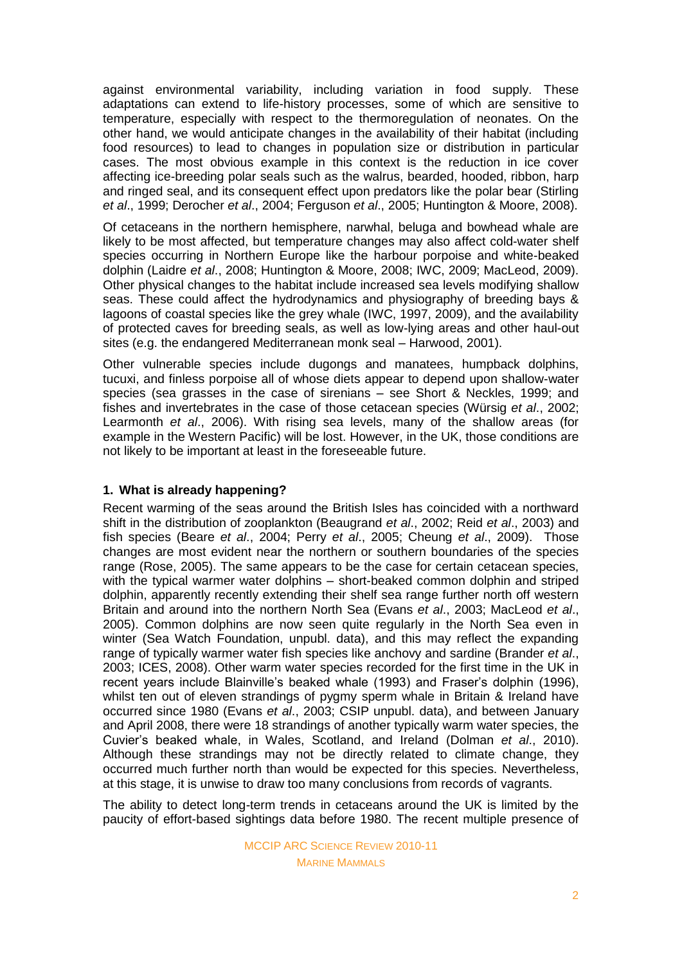against environmental variability, including variation in food supply. These adaptations can extend to life-history processes, some of which are sensitive to temperature, especially with respect to the thermoregulation of neonates. On the other hand, we would anticipate changes in the availability of their habitat (including food resources) to lead to changes in population size or distribution in particular cases. The most obvious example in this context is the reduction in ice cover affecting ice-breeding polar seals such as the walrus, bearded, hooded, ribbon, harp and ringed seal, and its consequent effect upon predators like the polar bear (Stirling *et al*., 1999; Derocher *et al*., 2004; Ferguson *et al*., 2005; Huntington & Moore, 2008).

Of cetaceans in the northern hemisphere, narwhal, beluga and bowhead whale are likely to be most affected, but temperature changes may also affect cold-water shelf species occurring in Northern Europe like the harbour porpoise and white-beaked dolphin (Laidre *et al*., 2008; Huntington & Moore, 2008; IWC, 2009; MacLeod, 2009). Other physical changes to the habitat include increased sea levels modifying shallow seas. These could affect the hydrodynamics and physiography of breeding bays & lagoons of coastal species like the grey whale (IWC, 1997, 2009), and the availability of protected caves for breeding seals, as well as low-lying areas and other haul-out sites (e.g. the endangered Mediterranean monk seal – Harwood, 2001).

Other vulnerable species include dugongs and manatees, humpback dolphins, tucuxi, and finless porpoise all of whose diets appear to depend upon shallow-water species (sea grasses in the case of sirenians – see Short & Neckles, 1999; and fishes and invertebrates in the case of those cetacean species (Würsig *et al*., 2002; Learmonth *et al*., 2006). With rising sea levels, many of the shallow areas (for example in the Western Pacific) will be lost. However, in the UK, those conditions are not likely to be important at least in the foreseeable future.

# **1. What is already happening?**

Recent warming of the seas around the British Isles has coincided with a northward shift in the distribution of zooplankton (Beaugrand *et al*., 2002; Reid *et al*., 2003) and fish species (Beare *et al*., 2004; Perry *et al*., 2005; Cheung *et al*., 2009). Those changes are most evident near the northern or southern boundaries of the species range (Rose, 2005). The same appears to be the case for certain cetacean species, with the typical warmer water dolphins – short-beaked common dolphin and striped dolphin, apparently recently extending their shelf sea range further north off western Britain and around into the northern North Sea (Evans *et al*., 2003; MacLeod *et al*., 2005). Common dolphins are now seen quite regularly in the North Sea even in winter (Sea Watch Foundation, unpubl. data), and this may reflect the expanding range of typically warmer water fish species like anchovy and sardine (Brander *et al*., 2003; ICES, 2008). Other warm water species recorded for the first time in the UK in recent years include Blainville's beaked whale (1993) and Fraser's dolphin (1996), whilst ten out of eleven strandings of pygmy sperm whale in Britain & Ireland have occurred since 1980 (Evans *et al*., 2003; CSIP unpubl. data), and between January and April 2008, there were 18 strandings of another typically warm water species, the Cuvier's beaked whale, in Wales, Scotland, and Ireland (Dolman *et al*., 2010). Although these strandings may not be directly related to climate change, they occurred much further north than would be expected for this species. Nevertheless, at this stage, it is unwise to draw too many conclusions from records of vagrants.

The ability to detect long-term trends in cetaceans around the UK is limited by the paucity of effort-based sightings data before 1980. The recent multiple presence of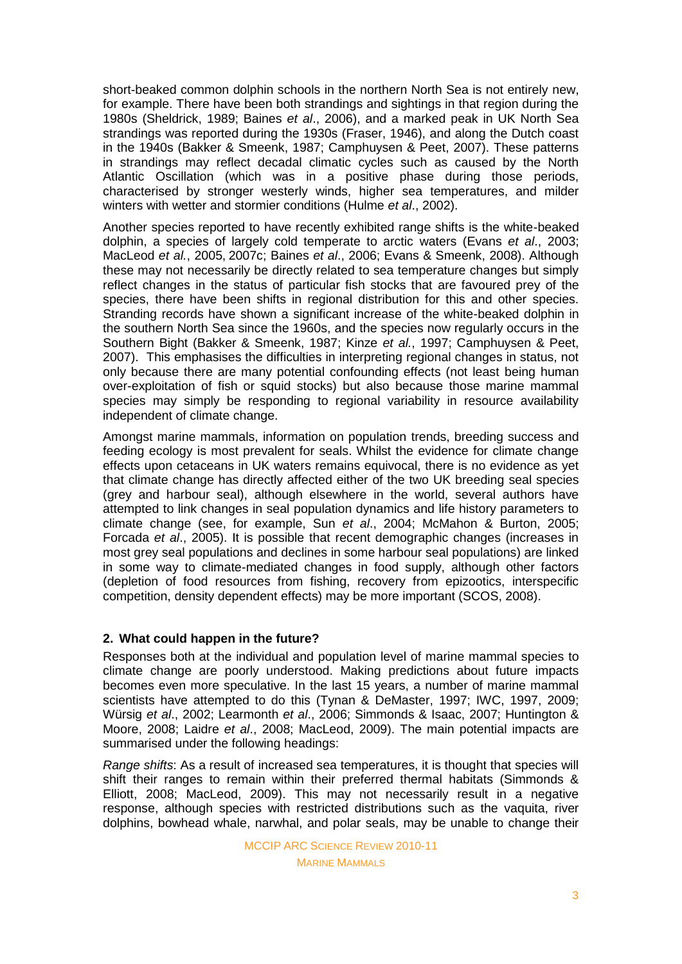short-beaked common dolphin schools in the northern North Sea is not entirely new, for example. There have been both strandings and sightings in that region during the 1980s (Sheldrick, 1989; Baines *et al*., 2006), and a marked peak in UK North Sea strandings was reported during the 1930s (Fraser, 1946), and along the Dutch coast in the 1940s (Bakker & Smeenk, 1987; Camphuysen & Peet, 2007). These patterns in strandings may reflect decadal climatic cycles such as caused by the North Atlantic Oscillation (which was in a positive phase during those periods, characterised by stronger westerly winds, higher sea temperatures, and milder winters with wetter and stormier conditions (Hulme *et al*., 2002).

Another species reported to have recently exhibited range shifts is the white-beaked dolphin, a species of largely cold temperate to arctic waters (Evans *et al*., 2003; MacLeod *et al.*, 2005, 2007c; Baines *et al*., 2006; Evans & Smeenk, 2008). Although these may not necessarily be directly related to sea temperature changes but simply reflect changes in the status of particular fish stocks that are favoured prey of the species, there have been shifts in regional distribution for this and other species. Stranding records have shown a significant increase of the white-beaked dolphin in the southern North Sea since the 1960s, and the species now regularly occurs in the Southern Bight (Bakker & Smeenk, 1987; Kinze *et al.*, 1997; Camphuysen & Peet, 2007). This emphasises the difficulties in interpreting regional changes in status, not only because there are many potential confounding effects (not least being human over-exploitation of fish or squid stocks) but also because those marine mammal species may simply be responding to regional variability in resource availability independent of climate change.

Amongst marine mammals, information on population trends, breeding success and feeding ecology is most prevalent for seals. Whilst the evidence for climate change effects upon cetaceans in UK waters remains equivocal, there is no evidence as yet that climate change has directly affected either of the two UK breeding seal species (grey and harbour seal), although elsewhere in the world, several authors have attempted to link changes in seal population dynamics and life history parameters to climate change (see, for example, Sun *et al*., 2004; McMahon & Burton, 2005; Forcada *et al*., 2005). It is possible that recent demographic changes (increases in most grey seal populations and declines in some harbour seal populations) are linked in some way to climate-mediated changes in food supply, although other factors (depletion of food resources from fishing, recovery from epizootics, interspecific competition, density dependent effects) may be more important (SCOS, 2008).

# **2. What could happen in the future?**

Responses both at the individual and population level of marine mammal species to climate change are poorly understood. Making predictions about future impacts becomes even more speculative. In the last 15 years, a number of marine mammal scientists have attempted to do this (Tynan & DeMaster, 1997; IWC, 1997, 2009; Würsig *et al*., 2002; Learmonth *et al*., 2006; Simmonds & Isaac, 2007; Huntington & Moore, 2008; Laidre *et al*., 2008; MacLeod, 2009). The main potential impacts are summarised under the following headings:

*Range shifts*: As a result of increased sea temperatures, it is thought that species will shift their ranges to remain within their preferred thermal habitats (Simmonds & Elliott, 2008; MacLeod, 2009). This may not necessarily result in a negative response, although species with restricted distributions such as the vaquita, river dolphins, bowhead whale, narwhal, and polar seals, may be unable to change their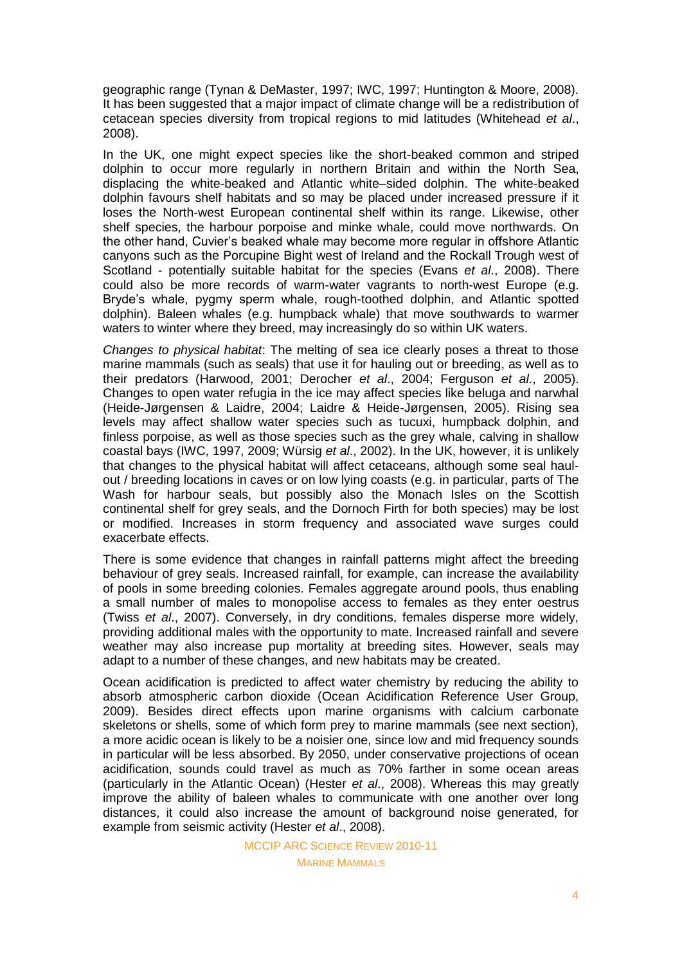geographic range (Tynan & DeMaster, 1997; IWC, 1997; Huntington & Moore, 2008). It has been suggested that a major impact of climate change will be a redistribution of cetacean species diversity from tropical regions to mid latitudes (Whitehead *et al*., 2008).

In the UK, one might expect species like the short-beaked common and striped dolphin to occur more regularly in northern Britain and within the North Sea, displacing the white-beaked and Atlantic white–sided dolphin. The white-beaked dolphin favours shelf habitats and so may be placed under increased pressure if it loses the North-west European continental shelf within its range. Likewise, other shelf species, the harbour porpoise and minke whale, could move northwards. On the other hand, Cuvier's beaked whale may become more regular in offshore Atlantic canyons such as the Porcupine Bight west of Ireland and the Rockall Trough west of Scotland - potentially suitable habitat for the species (Evans *et al*., 2008). There could also be more records of warm-water vagrants to north-west Europe (e.g. Bryde's whale, pygmy sperm whale, rough-toothed dolphin, and Atlantic spotted dolphin). Baleen whales (e.g. humpback whale) that move southwards to warmer waters to winter where they breed, may increasingly do so within UK waters.

*Changes to physical habitat*: The melting of sea ice clearly poses a threat to those marine mammals (such as seals) that use it for hauling out or breeding, as well as to their predators (Harwood, 2001; Derocher *et al*., 2004; Ferguson *et al*., 2005). Changes to open water refugia in the ice may affect species like beluga and narwhal (Heide-Jørgensen & Laidre, 2004; Laidre & Heide-Jørgensen, 2005). Rising sea levels may affect shallow water species such as tucuxi, humpback dolphin, and finless porpoise, as well as those species such as the grey whale, calving in shallow coastal bays (IWC, 1997, 2009; Würsig *et al*., 2002). In the UK, however, it is unlikely that changes to the physical habitat will affect cetaceans, although some seal haulout / breeding locations in caves or on low lying coasts (e.g. in particular, parts of The Wash for harbour seals, but possibly also the Monach Isles on the Scottish continental shelf for grey seals, and the Dornoch Firth for both species) may be lost or modified. Increases in storm frequency and associated wave surges could exacerbate effects.

There is some evidence that changes in rainfall patterns might affect the breeding behaviour of grey seals. Increased rainfall, for example, can increase the availability of pools in some breeding colonies. Females aggregate around pools, thus enabling a small number of males to monopolise access to females as they enter oestrus (Twiss *et al*., 2007). Conversely, in dry conditions, females disperse more widely, providing additional males with the opportunity to mate. Increased rainfall and severe weather may also increase pup mortality at breeding sites. However, seals may adapt to a number of these changes, and new habitats may be created.

Ocean acidification is predicted to affect water chemistry by reducing the ability to absorb atmospheric carbon dioxide (Ocean Acidification Reference User Group, 2009). Besides direct effects upon marine organisms with calcium carbonate skeletons or shells, some of which form prey to marine mammals (see next section), a more acidic ocean is likely to be a noisier one, since low and mid frequency sounds in particular will be less absorbed. By 2050, under conservative projections of ocean acidification, sounds could travel as much as 70% farther in some ocean areas (particularly in the Atlantic Ocean) (Hester *et al*., 2008). Whereas this may greatly improve the ability of baleen whales to communicate with one another over long distances, it could also increase the amount of background noise generated, for example from seismic activity (Hester *et al*., 2008).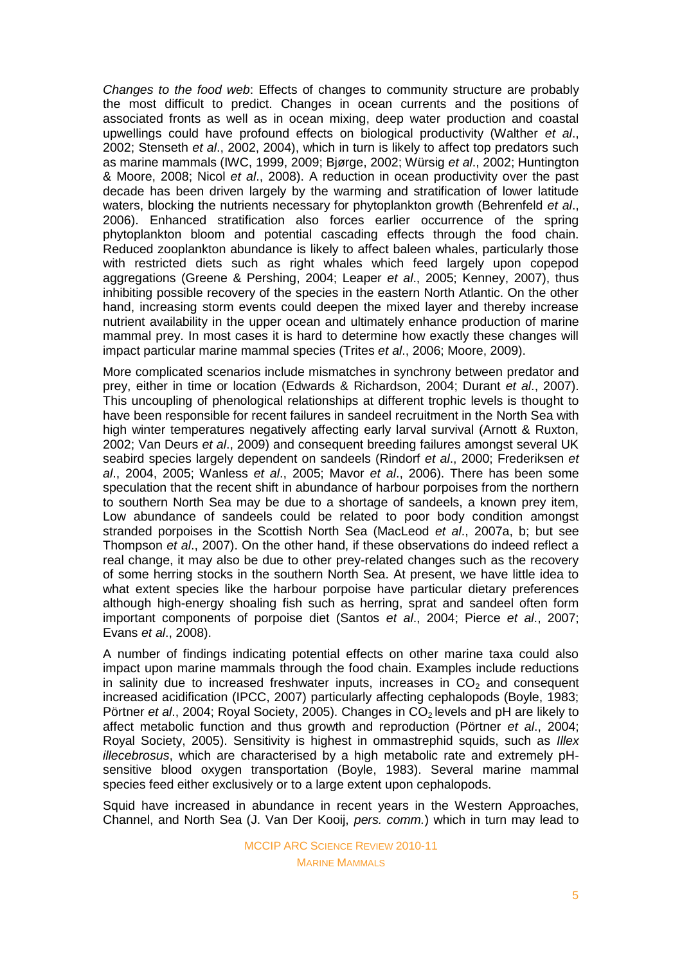*Changes to the food web*: Effects of changes to community structure are probably the most difficult to predict. Changes in ocean currents and the positions of associated fronts as well as in ocean mixing, deep water production and coastal upwellings could have profound effects on biological productivity (Walther *et al*., 2002; Stenseth *et al*., 2002, 2004), which in turn is likely to affect top predators such as marine mammals (IWC, 1999, 2009; Bjørge, 2002; Würsig *et al*., 2002; Huntington & Moore, 2008; Nicol *et al*., 2008). A reduction in ocean productivity over the past decade has been driven largely by the warming and stratification of lower latitude waters, blocking the nutrients necessary for phytoplankton growth (Behrenfeld *et al*., 2006). Enhanced stratification also forces earlier occurrence of the spring phytoplankton bloom and potential cascading effects through the food chain. Reduced zooplankton abundance is likely to affect baleen whales, particularly those with restricted diets such as right whales which feed largely upon copepod aggregations (Greene & Pershing, 2004; Leaper *et al*., 2005; Kenney, 2007), thus inhibiting possible recovery of the species in the eastern North Atlantic. On the other hand, increasing storm events could deepen the mixed layer and thereby increase nutrient availability in the upper ocean and ultimately enhance production of marine mammal prey. In most cases it is hard to determine how exactly these changes will impact particular marine mammal species (Trites *et al*., 2006; Moore, 2009).

More complicated scenarios include mismatches in synchrony between predator and prey, either in time or location (Edwards & Richardson, 2004; Durant *et al*., 2007). This uncoupling of phenological relationships at different trophic levels is thought to have been responsible for recent failures in sandeel recruitment in the North Sea with high winter temperatures negatively affecting early larval survival (Arnott & Ruxton, 2002; Van Deurs *et al*., 2009) and consequent breeding failures amongst several UK seabird species largely dependent on sandeels (Rindorf *et al*., 2000; Frederiksen *et al*., 2004, 2005; Wanless *et al*., 2005; Mavor *et al*., 2006). There has been some speculation that the recent shift in abundance of harbour porpoises from the northern to southern North Sea may be due to a shortage of sandeels, a known prey item, Low abundance of sandeels could be related to poor body condition amongst stranded porpoises in the Scottish North Sea (MacLeod *et al*., 2007a, b; but see Thompson *et al*., 2007). On the other hand, if these observations do indeed reflect a real change, it may also be due to other prey-related changes such as the recovery of some herring stocks in the southern North Sea. At present, we have little idea to what extent species like the harbour porpoise have particular dietary preferences although high-energy shoaling fish such as herring, sprat and sandeel often form important components of porpoise diet (Santos *et al*., 2004; Pierce *et al*., 2007; Evans *et al*., 2008).

A number of findings indicating potential effects on other marine taxa could also impact upon marine mammals through the food chain. Examples include reductions in salinity due to increased freshwater inputs, increases in  $CO<sub>2</sub>$  and consequent increased acidification (IPCC, 2007) particularly affecting cephalopods (Boyle, 1983; Pörtner *et al.*, 2004; Royal Society, 2005). Changes in CO<sub>2</sub> levels and pH are likely to affect metabolic function and thus growth and reproduction (Pörtner *et al*., 2004; Royal Society, 2005). Sensitivity is highest in ommastrephid squids, such as *Illex illecebrosus*, which are characterised by a high metabolic rate and extremely pHsensitive blood oxygen transportation (Boyle, 1983). Several marine mammal species feed either exclusively or to a large extent upon cephalopods.

Squid have increased in abundance in recent years in the Western Approaches, Channel, and North Sea (J. Van Der Kooij, *pers. comm.*) which in turn may lead to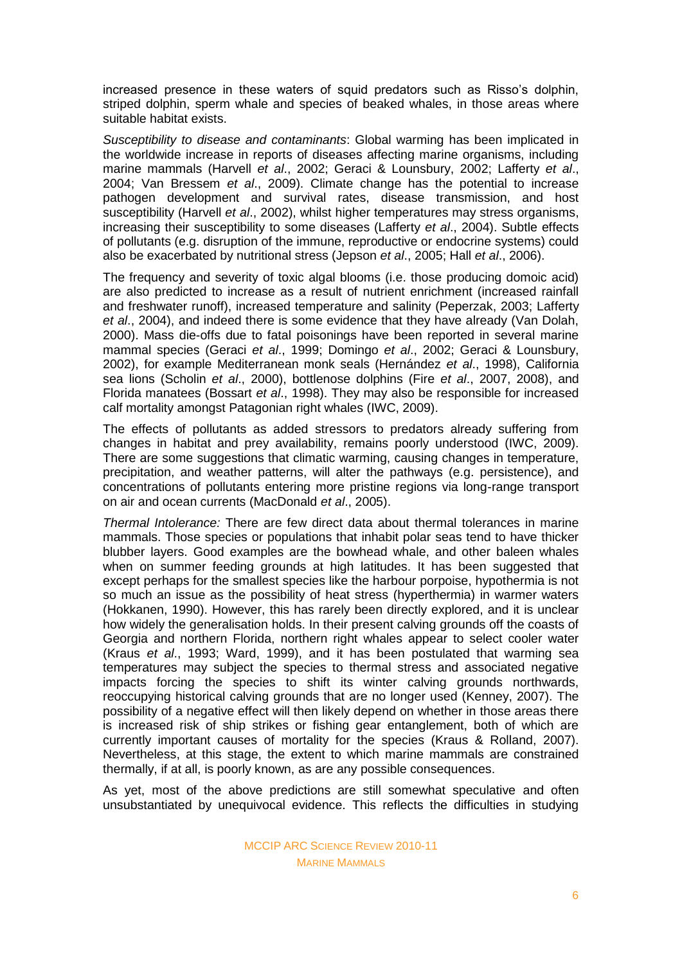increased presence in these waters of squid predators such as Risso's dolphin, striped dolphin, sperm whale and species of beaked whales, in those areas where suitable habitat exists.

*Susceptibility to disease and contaminants*: Global warming has been implicated in the worldwide increase in reports of diseases affecting marine organisms, including marine mammals (Harvell *et al*., 2002; Geraci & Lounsbury, 2002; Lafferty *et al*., 2004; Van Bressem *et al*., 2009). Climate change has the potential to increase pathogen development and survival rates, disease transmission, and host susceptibility (Harvell *et al*., 2002), whilst higher temperatures may stress organisms, increasing their susceptibility to some diseases (Lafferty *et al*., 2004). Subtle effects of pollutants (e.g. disruption of the immune, reproductive or endocrine systems) could also be exacerbated by nutritional stress (Jepson *et al*., 2005; Hall *et al*., 2006).

The frequency and severity of toxic algal blooms (i.e. those producing domoic acid) are also predicted to increase as a result of nutrient enrichment (increased rainfall and freshwater runoff), increased temperature and salinity (Peperzak, 2003; Lafferty *et al*., 2004), and indeed there is some evidence that they have already (Van Dolah, 2000). Mass die-offs due to fatal poisonings have been reported in several marine mammal species (Geraci *et al*., 1999; Domingo *et al*., 2002; Geraci & Lounsbury, 2002), for example Mediterranean monk seals (Hernández *et al*., 1998), California sea lions (Scholin *et al*., 2000), bottlenose dolphins (Fire *et al*., 2007, 2008), and Florida manatees (Bossart *et al*., 1998). They may also be responsible for increased calf mortality amongst Patagonian right whales (IWC, 2009).

The effects of pollutants as added stressors to predators already suffering from changes in habitat and prey availability, remains poorly understood (IWC, 2009). There are some suggestions that climatic warming, causing changes in temperature, precipitation, and weather patterns, will alter the pathways (e.g. persistence), and concentrations of pollutants entering more pristine regions via long-range transport on air and ocean currents (MacDonald *et al*., 2005).

*Thermal Intolerance:* There are few direct data about thermal tolerances in marine mammals. Those species or populations that inhabit polar seas tend to have thicker blubber layers. Good examples are the bowhead whale, and other baleen whales when on summer feeding grounds at high latitudes. It has been suggested that except perhaps for the smallest species like the harbour porpoise, hypothermia is not so much an issue as the possibility of heat stress (hyperthermia) in warmer waters (Hokkanen, 1990). However, this has rarely been directly explored, and it is unclear how widely the generalisation holds. In their present calving grounds off the coasts of Georgia and northern Florida, northern right whales appear to select cooler water (Kraus *et al*., 1993; Ward, 1999), and it has been postulated that warming sea temperatures may subject the species to thermal stress and associated negative impacts forcing the species to shift its winter calving grounds northwards, reoccupying historical calving grounds that are no longer used (Kenney, 2007). The possibility of a negative effect will then likely depend on whether in those areas there is increased risk of ship strikes or fishing gear entanglement, both of which are currently important causes of mortality for the species (Kraus & Rolland, 2007). Nevertheless, at this stage, the extent to which marine mammals are constrained thermally, if at all, is poorly known, as are any possible consequences.

As yet, most of the above predictions are still somewhat speculative and often unsubstantiated by unequivocal evidence. This reflects the difficulties in studying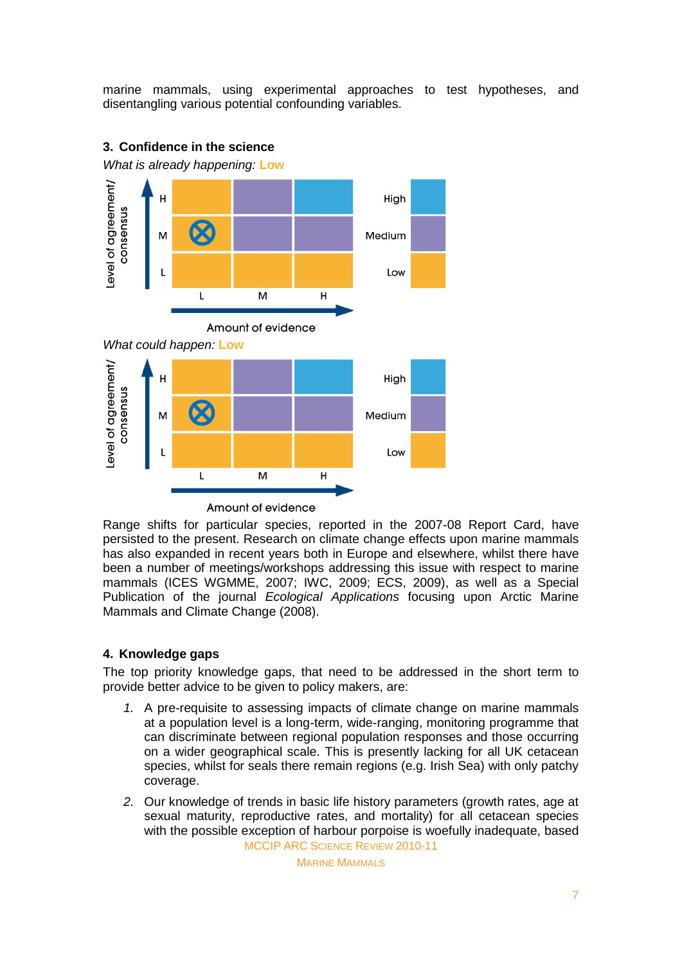marine mammals, using experimental approaches to test hypotheses, and disentangling various potential confounding variables.



# **3. Confidence in the science**

*What is already happening:* **Low**

Amount of evidence

Range shifts for particular species, reported in the 2007-08 Report Card, have persisted to the present. Research on climate change effects upon marine mammals has also expanded in recent years both in Europe and elsewhere, whilst there have been a number of meetings/workshops addressing this issue with respect to marine mammals (ICES WGMME, 2007; IWC, 2009; ECS, 2009), as well as a Special Publication of the journal *Ecological Applications* focusing upon Arctic Marine Mammals and Climate Change (2008).

# **4. Knowledge gaps**

The top priority knowledge gaps, that need to be addressed in the short term to provide better advice to be given to policy makers, are:

- *1.* A pre-requisite to assessing impacts of climate change on marine mammals at a population level is a long-term, wide-ranging, monitoring programme that can discriminate between regional population responses and those occurring on a wider geographical scale. This is presently lacking for all UK cetacean species, whilst for seals there remain regions (e.g. Irish Sea) with only patchy coverage.
- MCCIP ARC SCIENCE REVIEW 2010-11 *2.* Our knowledge of trends in basic life history parameters (growth rates, age at sexual maturity, reproductive rates, and mortality) for all cetacean species with the possible exception of harbour porpoise is woefully inadequate, based

MARINE MAMMALS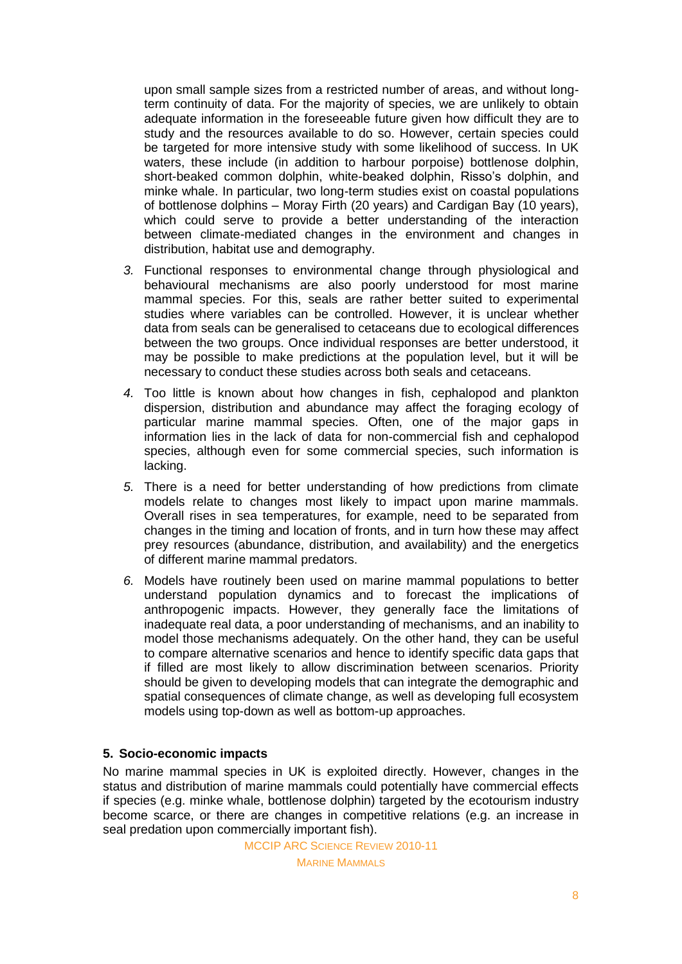upon small sample sizes from a restricted number of areas, and without longterm continuity of data. For the majority of species, we are unlikely to obtain adequate information in the foreseeable future given how difficult they are to study and the resources available to do so. However, certain species could be targeted for more intensive study with some likelihood of success. In UK waters, these include (in addition to harbour porpoise) bottlenose dolphin, short-beaked common dolphin, white-beaked dolphin, Risso's dolphin, and minke whale. In particular, two long-term studies exist on coastal populations of bottlenose dolphins – Moray Firth (20 years) and Cardigan Bay (10 years), which could serve to provide a better understanding of the interaction between climate-mediated changes in the environment and changes in distribution, habitat use and demography.

- *3.* Functional responses to environmental change through physiological and behavioural mechanisms are also poorly understood for most marine mammal species. For this, seals are rather better suited to experimental studies where variables can be controlled. However, it is unclear whether data from seals can be generalised to cetaceans due to ecological differences between the two groups. Once individual responses are better understood, it may be possible to make predictions at the population level, but it will be necessary to conduct these studies across both seals and cetaceans.
- *4.* Too little is known about how changes in fish, cephalopod and plankton dispersion, distribution and abundance may affect the foraging ecology of particular marine mammal species. Often, one of the major gaps in information lies in the lack of data for non-commercial fish and cephalopod species, although even for some commercial species, such information is lacking.
- *5.* There is a need for better understanding of how predictions from climate models relate to changes most likely to impact upon marine mammals. Overall rises in sea temperatures, for example, need to be separated from changes in the timing and location of fronts, and in turn how these may affect prey resources (abundance, distribution, and availability) and the energetics of different marine mammal predators.
- *6.* Models have routinely been used on marine mammal populations to better understand population dynamics and to forecast the implications of anthropogenic impacts. However, they generally face the limitations of inadequate real data, a poor understanding of mechanisms, and an inability to model those mechanisms adequately. On the other hand, they can be useful to compare alternative scenarios and hence to identify specific data gaps that if filled are most likely to allow discrimination between scenarios. Priority should be given to developing models that can integrate the demographic and spatial consequences of climate change, as well as developing full ecosystem models using top-down as well as bottom-up approaches.

#### **5. Socio-economic impacts**

No marine mammal species in UK is exploited directly. However, changes in the status and distribution of marine mammals could potentially have commercial effects if species (e.g. minke whale, bottlenose dolphin) targeted by the ecotourism industry become scarce, or there are changes in competitive relations (e.g. an increase in seal predation upon commercially important fish).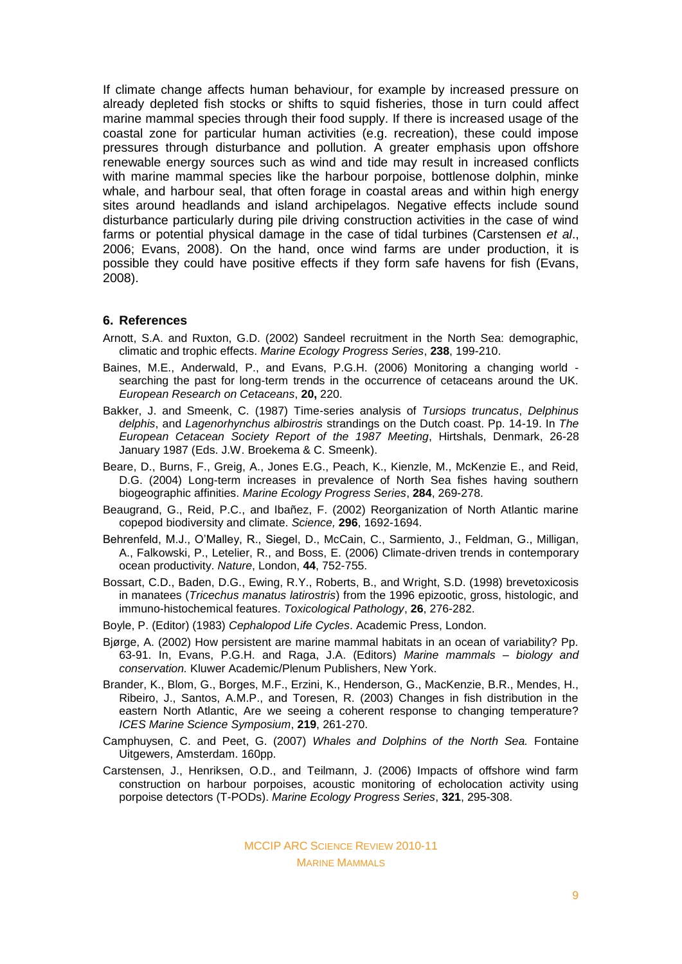If climate change affects human behaviour, for example by increased pressure on already depleted fish stocks or shifts to squid fisheries, those in turn could affect marine mammal species through their food supply. If there is increased usage of the coastal zone for particular human activities (e.g. recreation), these could impose pressures through disturbance and pollution. A greater emphasis upon offshore renewable energy sources such as wind and tide may result in increased conflicts with marine mammal species like the harbour porpoise, bottlenose dolphin, minke whale, and harbour seal, that often forage in coastal areas and within high energy sites around headlands and island archipelagos. Negative effects include sound disturbance particularly during pile driving construction activities in the case of wind farms or potential physical damage in the case of tidal turbines (Carstensen *et al*., 2006; Evans, 2008). On the hand, once wind farms are under production, it is possible they could have positive effects if they form safe havens for fish (Evans, 2008).

#### **6. References**

- Arnott, S.A. and Ruxton, G.D. (2002) Sandeel recruitment in the North Sea: demographic, climatic and trophic effects. *Marine Ecology Progress Series*, **238**, 199-210.
- Baines, M.E., Anderwald, P., and Evans, P.G.H. (2006) Monitoring a changing world searching the past for long-term trends in the occurrence of cetaceans around the UK. *European Research on Cetaceans*, **20,** 220.
- Bakker, J. and Smeenk, C. (1987) Time-series analysis of *Tursiops truncatus*, *Delphinus delphis*, and *Lagenorhynchus albirostris* strandings on the Dutch coast. Pp. 14-19. In *The European Cetacean Society Report of the 1987 Meeting*, Hirtshals, Denmark, 26-28 January 1987 (Eds. J.W. Broekema & C. Smeenk).
- Beare, D., Burns, F., Greig, A., Jones E.G., Peach, K., Kienzle, M., McKenzie E., and Reid, D.G. (2004) Long-term increases in prevalence of North Sea fishes having southern biogeographic affinities. *Marine Ecology Progress Series*, **284**, 269-278.
- Beaugrand, G., Reid, P.C., and Ibañez, F. (2002) Reorganization of North Atlantic marine copepod biodiversity and climate. *Science,* **296**, 1692-1694.
- Behrenfeld, M.J., O'Malley, R., Siegel, D., McCain, C., Sarmiento, J., Feldman, G., Milligan, A., Falkowski, P., Letelier, R., and Boss, E. (2006) Climate-driven trends in contemporary ocean productivity. *Nature*, London, **44**, 752-755.
- Bossart, C.D., Baden, D.G., Ewing, R.Y., Roberts, B., and Wright, S.D. (1998) brevetoxicosis in manatees (*Tricechus manatus latirostris*) from the 1996 epizootic, gross, histologic, and immuno-histochemical features. *Toxicological Pathology*, **26**, 276-282.
- Boyle, P. (Editor) (1983) *Cephalopod Life Cycles*. Academic Press, London.
- Bjørge, A. (2002) How persistent are marine mammal habitats in an ocean of variability? Pp. 63-91. In, Evans, P.G.H. and Raga, J.A. (Editors) *Marine mammals – biology and conservation.* Kluwer Academic/Plenum Publishers, New York.
- Brander, K., Blom, G., Borges, M.F., Erzini, K., Henderson, G., MacKenzie, B.R., Mendes, H., Ribeiro, J., Santos, A.M.P., and Toresen, R. (2003) Changes in fish distribution in the eastern North Atlantic, Are we seeing a coherent response to changing temperature? *ICES Marine Science Symposium*, **219**, 261-270.
- Camphuysen, C. and Peet, G. (2007) *Whales and Dolphins of the North Sea.* Fontaine Uitgewers, Amsterdam. 160pp.
- Carstensen, J., Henriksen, O.D., and Teilmann, J. (2006) Impacts of offshore wind farm construction on harbour porpoises, acoustic monitoring of echolocation activity using porpoise detectors (T-PODs). *Marine Ecology Progress Series*, **321**, 295-308.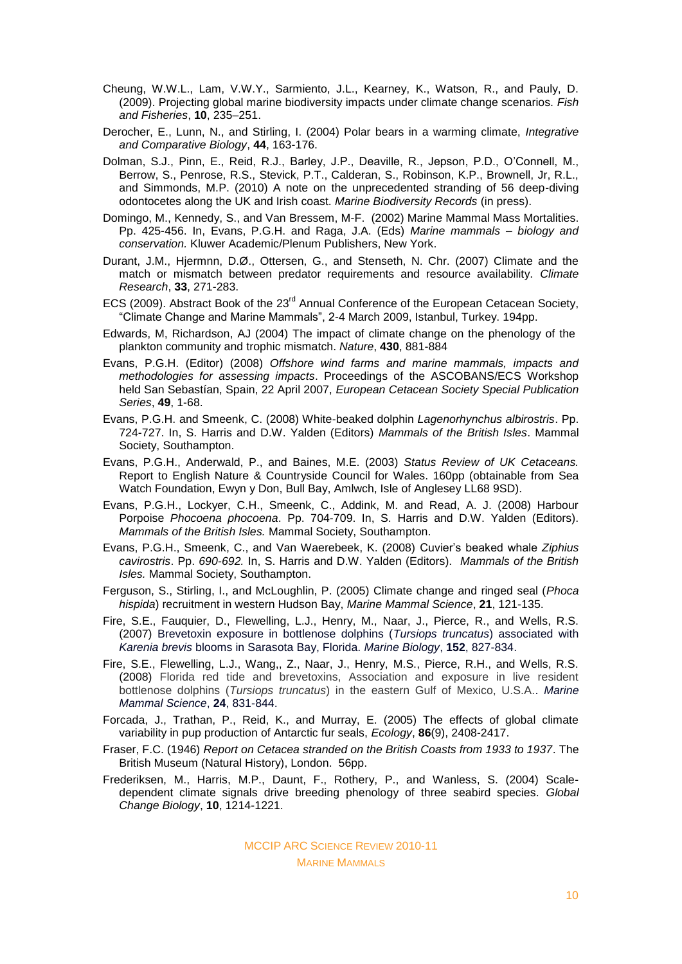- Cheung, W.W.L., Lam, V.W.Y., Sarmiento, J.L., Kearney, K., Watson, R., and Pauly, D. (2009). Projecting global marine biodiversity impacts under climate change scenarios. *Fish and Fisheries*, **10**, 235–251.
- Derocher, E., Lunn, N., and Stirling, I. (2004) Polar bears in a warming climate, *Integrative and Comparative Biology*, **44**, 163-176.
- Dolman, S.J., Pinn, E., Reid, R.J., Barley, J.P., Deaville, R., Jepson, P.D., O'Connell, M., Berrow, S., Penrose, R.S., Stevick, P.T., Calderan, S., Robinson, K.P., Brownell, Jr, R.L., and Simmonds, M.P. (2010) A note on the unprecedented stranding of 56 deep-diving odontocetes along the UK and Irish coast. *Marine Biodiversity Records* (in press).
- Domingo, M., Kennedy, S., and Van Bressem, M-F. (2002) Marine Mammal Mass Mortalities. Pp. 425-456. In, Evans, P.G.H. and Raga, J.A. (Eds) *Marine mammals – biology and conservation.* Kluwer Academic/Plenum Publishers, New York.
- Durant, J.M., Hjermnn, D.Ø., Ottersen, G., and Stenseth, N. Chr. (2007) Climate and the match or mismatch between predator requirements and resource availability. *Climate Research*, **33**, 271-283.
- ECS (2009). Abstract Book of the 23<sup>rd</sup> Annual Conference of the European Cetacean Society, "Climate Change and Marine Mammals", 2-4 March 2009, Istanbul, Turkey. 194pp.
- Edwards, M, Richardson, AJ (2004) The impact of climate change on the phenology of the plankton community and trophic mismatch. *Nature*, **430**, 881-884
- Evans, P.G.H. (Editor) (2008) *Offshore wind farms and marine mammals, impacts and methodologies for assessing impacts*. Proceedings of the ASCOBANS/ECS Workshop held San Sebastían, Spain, 22 April 2007, *European Cetacean Society Special Publication Series*, **49**, 1-68.
- Evans, P.G.H. and Smeenk, C. (2008) White-beaked dolphin *Lagenorhynchus albirostris*. Pp. 724-727. In, S. Harris and D.W. Yalden (Editors) *Mammals of the British Isles*. Mammal Society, Southampton.
- Evans, P.G.H., Anderwald, P., and Baines, M.E. (2003) *Status Review of UK Cetaceans.* Report to English Nature & Countryside Council for Wales. 160pp (obtainable from Sea Watch Foundation, Ewyn y Don, Bull Bay, Amlwch, Isle of Anglesey LL68 9SD).
- Evans, P.G.H., Lockyer, C.H., Smeenk, C., Addink, M. and Read, A. J. (2008) Harbour Porpoise *Phocoena phocoena*. Pp. 704-709. In, S. Harris and D.W. Yalden (Editors). *Mammals of the British Isles.* Mammal Society, Southampton.
- Evans, P.G.H., Smeenk, C., and Van Waerebeek, K. (2008) Cuvier's beaked whale *Ziphius cavirostris*. Pp. *690-692.* In, S. Harris and D.W. Yalden (Editors). *Mammals of the British Isles.* Mammal Society, Southampton.
- Ferguson, S., Stirling, I., and McLoughlin, P. (2005) Climate change and ringed seal (*Phoca hispida*) recruitment in western Hudson Bay, *Marine Mammal Science*, **21**, 121-135.
- Fire, S.E., Fauquier, D., Flewelling, L.J., Henry, M., Naar, J., Pierce, R., and Wells, R.S. (2007) Brevetoxin exposure in bottlenose dolphins (*Tursiops truncatus*) associated with *Karenia brevis* blooms in Sarasota Bay, Florida. *Marine Biology*, **152**, 827-834.
- Fire, S.E., Flewelling, L.J., Wang,, Z., Naar, J., Henry, M.S., Pierce, R.H., and Wells, R.S. (2008) Florida red tide and brevetoxins, Association and exposure in live resident bottlenose dolphins (*Tursiops truncatus*) in the eastern Gulf of Mexico, U.S.A.. *Marine Mammal Science*, **24**, 831-844.
- Forcada, J., Trathan, P., Reid, K., and Murray, E. (2005) The effects of global climate variability in pup production of Antarctic fur seals, *Ecology*, **86**(9), 2408-2417.
- Fraser, F.C. (1946) *Report on Cetacea stranded on the British Coasts from 1933 to 1937*. The British Museum (Natural History), London. 56pp.
- Frederiksen, M., Harris, M.P., Daunt, F., Rothery, P., and Wanless, S. (2004) Scaledependent climate signals drive breeding phenology of three seabird species. *Global Change Biology*, **10**, 1214-1221.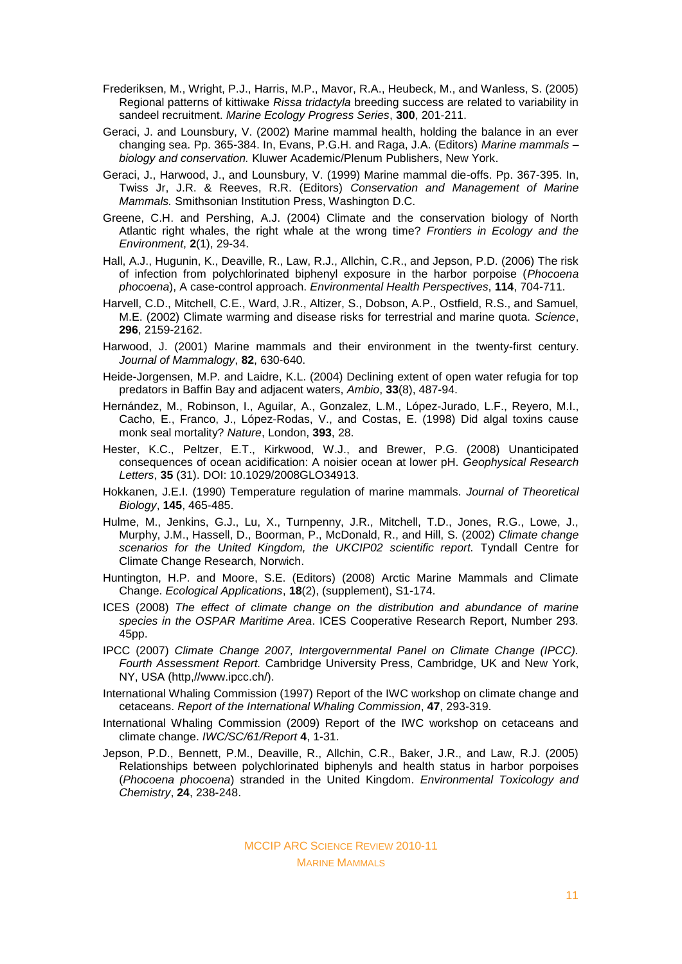- Frederiksen, M., Wright, P.J., Harris, M.P., Mavor, R.A., Heubeck, M., and Wanless, S. (2005) Regional patterns of kittiwake *Rissa tridactyla* breeding success are related to variability in sandeel recruitment. *Marine Ecology Progress Series*, **300**, 201-211.
- Geraci, J. and Lounsbury, V. (2002) Marine mammal health, holding the balance in an ever changing sea. Pp. 365-384. In, Evans, P.G.H. and Raga, J.A. (Editors) *Marine mammals – biology and conservation.* Kluwer Academic/Plenum Publishers, New York.
- Geraci, J., Harwood, J., and Lounsbury, V. (1999) Marine mammal die-offs. Pp. 367-395. In, Twiss Jr, J.R. & Reeves, R.R. (Editors) *Conservation and Management of Marine Mammals.* Smithsonian Institution Press, Washington D.C.
- Greene, C.H. and Pershing, A.J. (2004) Climate and the conservation biology of North Atlantic right whales, the right whale at the wrong time? *Frontiers in Ecology and the Environment*, **2**(1), 29-34.
- Hall, A.J., Hugunin, K., Deaville, R., Law, R.J., Allchin, C.R., and Jepson, P.D. (2006) The risk of infection from polychlorinated biphenyl exposure in the harbor porpoise (*Phocoena phocoena*), A case-control approach. *Environmental Health Perspectives*, **114**, 704-711.
- Harvell, C.D., Mitchell, C.E., Ward, J.R., Altizer, S., Dobson, A.P., Ostfield, R.S., and Samuel, M.E. (2002) Climate warming and disease risks for terrestrial and marine quota. *Science*, **296**, 2159-2162.
- Harwood, J. (2001) Marine mammals and their environment in the twenty-first century. *Journal of Mammalogy*, **82**, 630-640.
- Heide-Jorgensen, M.P. and Laidre, K.L. (2004) Declining extent of open water refugia for top predators in Baffin Bay and adjacent waters, *Ambio*, **33**(8), 487-94.
- Hernández, M., Robinson, I., Aguilar, A., Gonzalez, L.M., López-Jurado, L.F., Reyero, M.I., Cacho, E., Franco, J., López-Rodas, V., and Costas, E. (1998) Did algal toxins cause monk seal mortality? *Nature*, London, **393**, 28.
- Hester, K.C., Peltzer, E.T., Kirkwood, W.J., and Brewer, P.G. (2008) Unanticipated consequences of ocean acidification: A noisier ocean at lower pH. *Geophysical Research Letters*, **35** (31). DOI: 10.1029/2008GLO34913.
- Hokkanen, J.E.I. (1990) Temperature regulation of marine mammals. *Journal of Theoretical Biology*, **145**, 465-485.
- Hulme, M., Jenkins, G.J., Lu, X., Turnpenny, J.R., Mitchell, T.D., Jones, R.G., Lowe, J., Murphy, J.M., Hassell, D., Boorman, P., McDonald, R., and Hill, S. (2002) *Climate change scenarios for the United Kingdom, the UKCIP02 scientific report.* Tyndall Centre for Climate Change Research, Norwich.
- Huntington, H.P. and Moore, S.E. (Editors) (2008) Arctic Marine Mammals and Climate Change. *Ecological Applications*, **18**(2), (supplement), S1-174.
- ICES (2008) *The effect of climate change on the distribution and abundance of marine species in the OSPAR Maritime Area*. ICES Cooperative Research Report, Number 293. 45pp.
- IPCC (2007) *Climate Change 2007, Intergovernmental Panel on Climate Change (IPCC). Fourth Assessment Report.* Cambridge University Press, Cambridge, UK and New York, NY, USA (http,//www.ipcc.ch/).
- International Whaling Commission (1997) Report of the IWC workshop on climate change and cetaceans. *Report of the International Whaling Commission*, **47**, 293-319.
- International Whaling Commission (2009) Report of the IWC workshop on cetaceans and climate change. *IWC/SC/61/Report* **4**, 1-31.
- Jepson, P.D., Bennett, P.M., Deaville, R., Allchin, C.R., Baker, J.R., and Law, R.J. (2005) Relationships between polychlorinated biphenyls and health status in harbor porpoises (*Phocoena phocoena*) stranded in the United Kingdom. *Environmental Toxicology and Chemistry*, **24**, 238-248.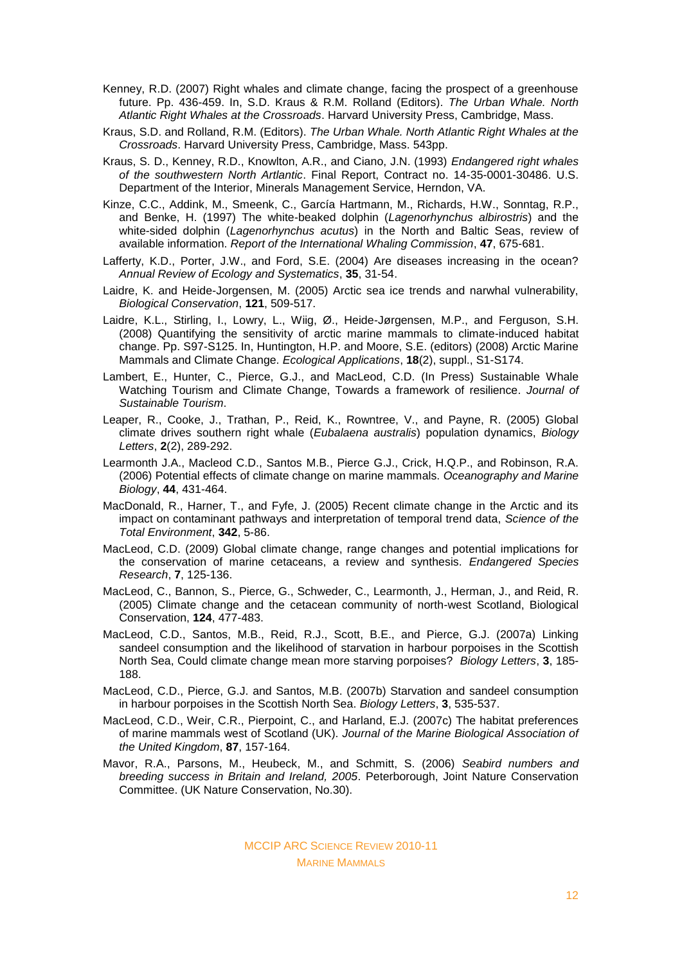- Kenney, R.D. (2007) Right whales and climate change, facing the prospect of a greenhouse future. Pp. 436-459. In, S.D. Kraus & R.M. Rolland (Editors). *The Urban Whale. North Atlantic Right Whales at the Crossroads*. Harvard University Press, Cambridge, Mass.
- Kraus, S.D. and Rolland, R.M. (Editors). *The Urban Whale. North Atlantic Right Whales at the Crossroads*. Harvard University Press, Cambridge, Mass. 543pp.
- Kraus, S. D., Kenney, R.D., Knowlton, A.R., and Ciano, J.N. (1993) *Endangered right whales of the southwestern North Artlantic*. Final Report, Contract no. 14-35-0001-30486. U.S. Department of the Interior, Minerals Management Service, Herndon, VA.
- Kinze, C.C., Addink, M., Smeenk, C., García Hartmann, M., Richards, H.W., Sonntag, R.P., and Benke, H. (1997) The white-beaked dolphin (*Lagenorhynchus albirostris*) and the white-sided dolphin (*Lagenorhynchus acutus*) in the North and Baltic Seas, review of available information. *Report of the International Whaling Commission*, **47**, 675-681.
- Lafferty, K.D., Porter, J.W., and Ford, S.E. (2004) Are diseases increasing in the ocean? *Annual Review of Ecology and Systematics*, **35**, 31-54.
- Laidre, K. and Heide-Jorgensen, M. (2005) Arctic sea ice trends and narwhal vulnerability, *Biological Conservation*, **121**, 509-517.
- Laidre, K.L., Stirling, I., Lowry, L., Wiig, Ø., Heide-Jørgensen, M.P., and Ferguson, S.H. (2008) Quantifying the sensitivity of arctic marine mammals to climate-induced habitat change. Pp. S97-S125. In, Huntington, H.P. and Moore, S.E. (editors) (2008) Arctic Marine Mammals and Climate Change. *Ecological Applications*, **18**(2), suppl., S1-S174.
- Lambert, E., Hunter, C., Pierce, G.J., and MacLeod, C.D. (In Press) Sustainable Whale Watching Tourism and Climate Change, Towards a framework of resilience. *Journal of Sustainable Tourism*.
- Leaper, R., Cooke, J., Trathan, P., Reid, K., Rowntree, V., and Payne, R. (2005) Global climate drives southern right whale (*Eubalaena australis*) population dynamics, *Biology Letters*, **2**(2), 289-292.
- Learmonth J.A., Macleod C.D., Santos M.B., Pierce G.J., Crick, H.Q.P., and Robinson, R.A. (2006) Potential effects of climate change on marine mammals. *Oceanography and Marine Biology*, **44**, 431-464.
- MacDonald, R., Harner, T., and Fyfe, J. (2005) Recent climate change in the Arctic and its impact on contaminant pathways and interpretation of temporal trend data, *Science of the Total Environment*, **342**, 5-86.
- MacLeod, C.D. (2009) Global climate change, range changes and potential implications for the conservation of marine cetaceans, a review and synthesis. *Endangered Species Research*, **7**, 125-136.
- MacLeod, C., Bannon, S., Pierce, G., Schweder, C., Learmonth, J., Herman, J., and Reid, R. (2005) Climate change and the cetacean community of north-west Scotland, Biological Conservation, **124**, 477-483.
- MacLeod, C.D., Santos, M.B., Reid, R.J., Scott, B.E., and Pierce, G.J. (2007a) Linking sandeel consumption and the likelihood of starvation in harbour porpoises in the Scottish North Sea, Could climate change mean more starving porpoises? *Biology Letters*, **3**, 185- 188.
- MacLeod, C.D., Pierce, G.J. and Santos, M.B. (2007b) Starvation and sandeel consumption in harbour porpoises in the Scottish North Sea. *Biology Letters*, **3**, 535-537.
- MacLeod, C.D., Weir, C.R., Pierpoint, C., and Harland, E.J. (2007c) The habitat preferences of marine mammals west of Scotland (UK). *Journal of the Marine Biological Association of the United Kingdom*, **87**, 157-164.
- Mavor, R.A., Parsons, M., Heubeck, M., and Schmitt, S. (2006) *Seabird numbers and breeding success in Britain and Ireland, 2005*. Peterborough, Joint Nature Conservation Committee. (UK Nature Conservation, No.30).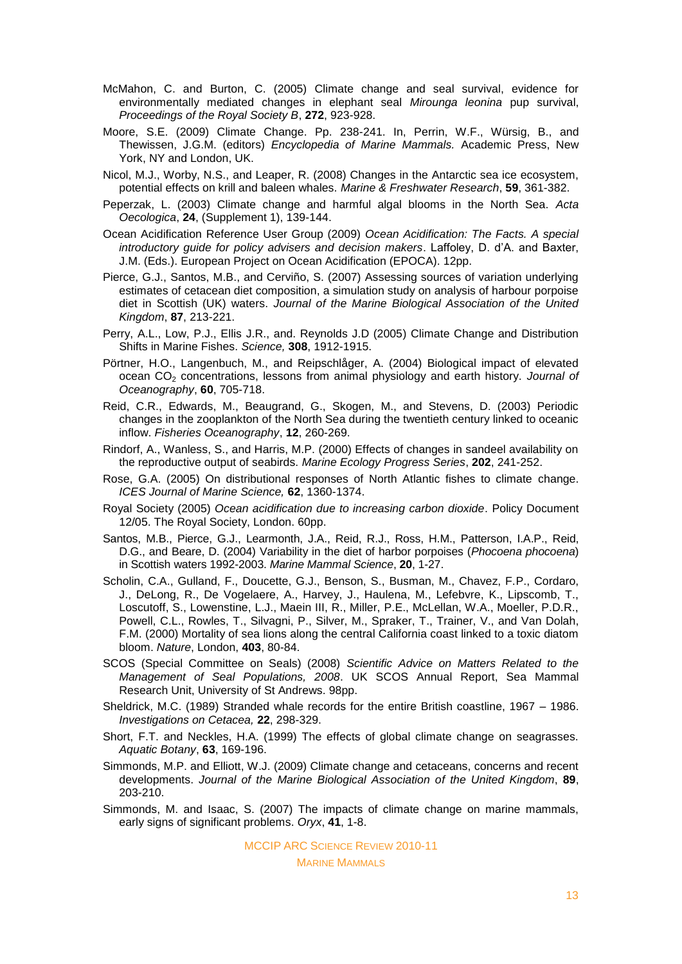- McMahon, C. and Burton, C. (2005) Climate change and seal survival, evidence for environmentally mediated changes in elephant seal *Mirounga leonina* pup survival, *Proceedings of the Royal Society B*, **272**, 923-928.
- Moore, S.E. (2009) Climate Change. Pp. 238-241. In, Perrin, W.F., Würsig, B., and Thewissen, J.G.M. (editors) *Encyclopedia of Marine Mammals.* Academic Press, New York, NY and London, UK.
- Nicol, M.J., Worby, N.S., and Leaper, R. (2008) Changes in the Antarctic sea ice ecosystem, potential effects on krill and baleen whales. *Marine & Freshwater Research*, **59**, 361-382.
- Peperzak, L. (2003) Climate change and harmful algal blooms in the North Sea. *Acta Oecologica*, **24**, (Supplement 1), 139-144.
- Ocean Acidification Reference User Group (2009) *Ocean Acidification: The Facts. A special introductory guide for policy advisers and decision makers*. Laffoley, D. d'A. and Baxter, J.M. (Eds.). European Project on Ocean Acidification (EPOCA). 12pp.
- Pierce, G.J., Santos, M.B., and Cerviño, S. (2007) Assessing sources of variation underlying estimates of cetacean diet composition, a simulation study on analysis of harbour porpoise diet in Scottish (UK) waters. *Journal of the Marine Biological Association of the United Kingdom*, **87**, 213-221.
- Perry, A.L., Low, P.J., Ellis J.R., and. Reynolds J.D (2005) Climate Change and Distribution Shifts in Marine Fishes. *Science,* **308**, 1912-1915.
- Pörtner, H.O., Langenbuch, M., and Reipschlåger, A. (2004) Biological impact of elevated ocean CO<sup>2</sup> concentrations, lessons from animal physiology and earth history. *Journal of Oceanography*, **60**, 705-718.
- Reid, C.R., Edwards, M., Beaugrand, G., Skogen, M., and Stevens, D. (2003) Periodic changes in the zooplankton of the North Sea during the twentieth century linked to oceanic inflow. *Fisheries Oceanography*, **12**, 260-269.
- Rindorf, A., Wanless, S., and Harris, M.P. (2000) Effects of changes in sandeel availability on the reproductive output of seabirds. *Marine Ecology Progress Series*, **202**, 241-252.
- Rose, G.A. (2005) On distributional responses of North Atlantic fishes to climate change. *ICES Journal of Marine Science,* **62**, 1360-1374.
- Royal Society (2005) *Ocean acidification due to increasing carbon dioxide*. Policy Document 12/05. The Royal Society, London. 60pp.
- Santos, M.B., Pierce, G.J., Learmonth, J.A., Reid, R.J., Ross, H.M., Patterson, I.A.P., Reid, D.G., and Beare, D. (2004) Variability in the diet of harbor porpoises (*Phocoena phocoena*) in Scottish waters 1992-2003. *Marine Mammal Science*, **20**, 1-27.
- Scholin, C.A., Gulland, F., Doucette, G.J., Benson, S., Busman, M., Chavez, F.P., Cordaro, J., DeLong, R., De Vogelaere, A., Harvey, J., Haulena, M., Lefebvre, K., Lipscomb, T., Loscutoff, S., Lowenstine, L.J., Maein III, R., Miller, P.E., McLellan, W.A., Moeller, P.D.R., Powell, C.L., Rowles, T., Silvagni, P., Silver, M., Spraker, T., Trainer, V., and Van Dolah, F.M. (2000) Mortality of sea lions along the central California coast linked to a toxic diatom bloom. *Nature*, London, **403**, 80-84.
- SCOS (Special Committee on Seals) (2008) *Scientific Advice on Matters Related to the Management of Seal Populations, 2008*. UK SCOS Annual Report, Sea Mammal Research Unit, University of St Andrews. 98pp.
- Sheldrick, M.C. (1989) Stranded whale records for the entire British coastline, 1967 1986. *Investigations on Cetacea,* **22**, 298-329.
- Short, F.T. and Neckles, H.A. (1999) The effects of global climate change on seagrasses. *Aquatic Botany*, **63**, 169-196.
- Simmonds, M.P. and Elliott, W.J. (2009) Climate change and cetaceans, concerns and recent developments. *Journal of the Marine Biological Association of the United Kingdom*, **89**, 203-210.
- Simmonds, M. and Isaac, S. (2007) The impacts of climate change on marine mammals, early signs of significant problems. *Oryx*, **41**, 1-8.